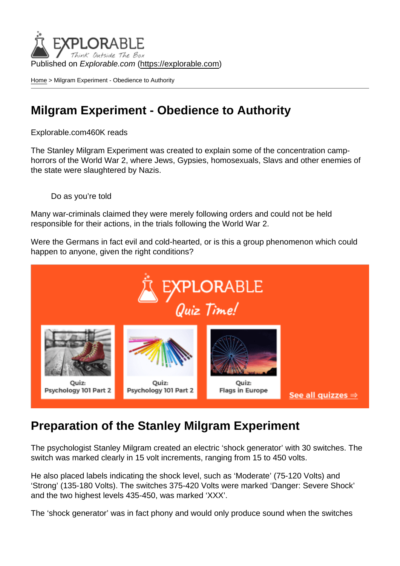Published on Explorable.com (<https://explorable.com>)

[Home](https://explorable.com/) > Milgram Experiment - Obedience to Authority

### Milgram Experiment - Obedience to Authority

#### Explorable.com460K reads

The Stanley Milgram Experiment was created to explain some of the concentration camphorrors of the World War 2, where Jews, Gypsies, homosexuals, Slavs and other enemies of the state were slaughtered by Nazis.

Do as you're told

Many war-criminals claimed they were merely following orders and could not be held responsible for their actions, in the trials following the World War 2.

Were the Germans in fact evil and cold-hearted, or is this a group phenomenon which could happen to anyone, given the right conditions?

#### Preparation of the Stanley Milgram Experiment

The psychologist Stanley Milgram created an electric 'shock generator' with 30 switches. The switch was marked clearly in 15 volt increments, ranging from 15 to 450 volts.

He also placed labels indicating the shock level, such as 'Moderate' (75-120 Volts) and 'Strong' (135-180 Volts). The switches 375-420 Volts were marked 'Danger: Severe Shock' and the two highest levels 435-450, was marked 'XXX'.

The 'shock generator' was in fact phony and would only produce sound when the switches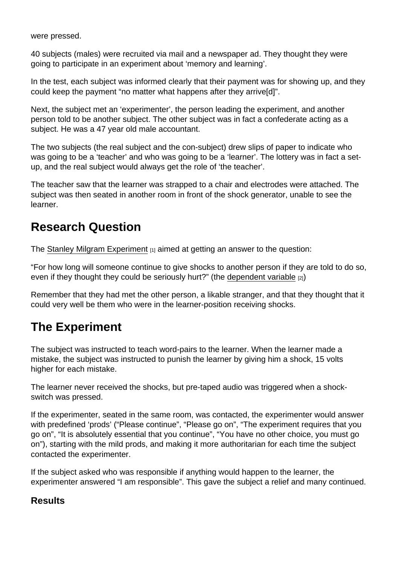were pressed.

40 subjects (males) were recruited via mail and a newspaper ad. They thought they were going to participate in an experiment about 'memory and learning'.

In the test, each subject was informed clearly that their payment was for showing up, and they could keep the payment "no matter what happens after they arrive[d]".

Next, the subject met an 'experimenter', the person leading the experiment, and another person told to be another subject. The other subject was in fact a confederate acting as a subject. He was a 47 year old male accountant.

The two subjects (the real subject and the con-subject) drew slips of paper to indicate who was going to be a 'teacher' and who was going to be a 'learner'. The lottery was in fact a setup, and the real subject would always get the role of 'the teacher'.

The teacher saw that the learner was strapped to a chair and electrodes were attached. The subject was then seated in another room in front of the shock generator, unable to see the learner.

### Research Question

The [Stanley Milgram Experiment](http://www.psychologytoday.com/articles/200203/the-man-who-shocked-the-world) [1] aimed at getting an answer to the question:

"For how long will someone continue to give shocks to another person if they are told to do so, even if they thought they could be seriously hurt?" (the [dependent variable](https://explorable.com/dependent-variable)  $_{[2]}$ )

Remember that they had met the other person, a likable stranger, and that they thought that it could very well be them who were in the learner-position receiving shocks.

# The Experiment

The subject was instructed to teach word-pairs to the learner. When the learner made a mistake, the subject was instructed to punish the learner by giving him a shock, 15 volts higher for each mistake.

The learner never received the shocks, but pre-taped audio was triggered when a shockswitch was pressed.

If the experimenter, seated in the same room, was contacted, the experimenter would answer with predefined 'prods' ("Please continue", "Please go on", "The experiment requires that you go on", "It is absolutely essential that you continue", "You have no other choice, you must go on"), starting with the mild prods, and making it more authoritarian for each time the subject contacted the experimenter.

If the subject asked who was responsible if anything would happen to the learner, the experimenter answered "I am responsible". This gave the subject a relief and many continued.

**Results**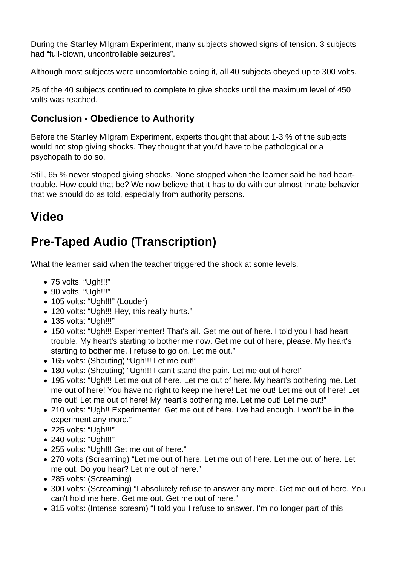During the Stanley Milgram Experiment, many subjects showed signs of tension. 3 subjects had "full-blown, uncontrollable seizures".

Although most subjects were uncomfortable doing it, all 40 subjects obeyed up to 300 volts.

25 of the 40 subjects continued to complete to give shocks until the maximum level of 450 volts was reached.

#### **Conclusion - Obedience to Authority**

Before the Stanley Milgram Experiment, experts thought that about 1-3 % of the subjects would not stop giving shocks. They thought that you'd have to be pathological or a psychopath to do so.

Still, 65 % never stopped giving shocks. None stopped when the learner said he had hearttrouble. How could that be? We now believe that it has to do with our almost innate behavior that we should do as told, especially from authority persons.

## **Video**

# **Pre-Taped Audio (Transcription)**

What the learner said when the teacher triggered the shock at some levels.

- 75 volts: "Ugh!!!"
- 90 volts: "Ugh!!!"
- 105 volts: "Ugh!!!" (Louder)
- 120 volts: "Ugh!!! Hey, this really hurts."
- 135 volts: "Ugh!!!"
- 150 volts: "Ugh!!! Experimenter! That's all. Get me out of here. I told you I had heart trouble. My heart's starting to bother me now. Get me out of here, please. My heart's starting to bother me. I refuse to go on. Let me out."
- 165 volts: (Shouting) "Ugh!!! Let me out!"
- 180 volts: (Shouting) "Ugh!!! I can't stand the pain. Let me out of here!"
- 195 volts: "Ugh!!! Let me out of here. Let me out of here. My heart's bothering me. Let me out of here! You have no right to keep me here! Let me out! Let me out of here! Let me out! Let me out of here! My heart's bothering me. Let me out! Let me out!"
- 210 volts: "Ugh!! Experimenter! Get me out of here. I've had enough. I won't be in the experiment any more."
- 225 volts: "Ugh!!!"
- 240 volts: "Ugh!!!"
- 255 volts: "Ugh!!! Get me out of here."
- 270 volts (Screaming) "Let me out of here. Let me out of here. Let me out of here. Let me out. Do you hear? Let me out of here."
- 285 volts: (Screaming)
- 300 volts: (Screaming) "I absolutely refuse to answer any more. Get me out of here. You can't hold me here. Get me out. Get me out of here."
- 315 volts: (Intense scream) "I told you I refuse to answer. I'm no longer part of this